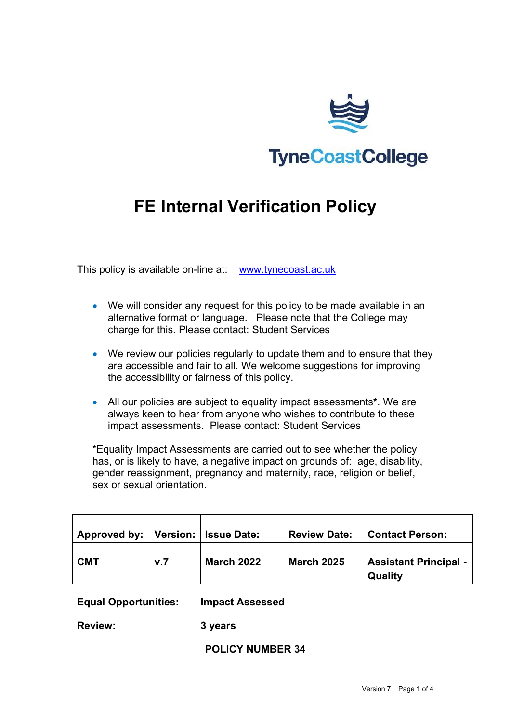

# **FE Internal Verification Policy**

This policy is available on-line at: [www.tynecoast.ac.uk](http://www.tynecoast.ac.uk/)

- We will consider any request for this policy to be made available in an alternative format or language. Please note that the College may charge for this. Please contact: Student Services
- We review our policies regularly to update them and to ensure that they are accessible and fair to all. We welcome suggestions for improving the accessibility or fairness of this policy.
- All our policies are subject to equality impact assessments**\***. We are always keen to hear from anyone who wishes to contribute to these impact assessments. Please contact: Student Services

\*Equality Impact Assessments are carried out to see whether the policy has, or is likely to have, a negative impact on grounds of: age, disability, gender reassignment, pregnancy and maternity, race, religion or belief, sex or sexual orientation.

| Approved by:   Version:   Issue Date: |     |                   | <b>Review Date:</b> | <b>Contact Person:</b>                  |
|---------------------------------------|-----|-------------------|---------------------|-----------------------------------------|
| <b>CMT</b>                            | v.7 | <b>March 2022</b> | <b>March 2025</b>   | <b>Assistant Principal -</b><br>Quality |

**Equal Opportunities: Impact Assessed** 

**Review: 3 years**

**POLICY NUMBER 34**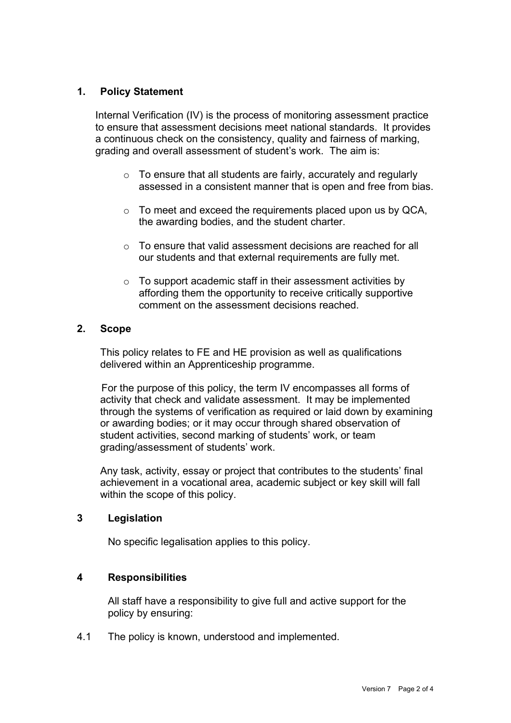## **1. Policy Statement**

Internal Verification (IV) is the process of monitoring assessment practice to ensure that assessment decisions meet national standards. It provides a continuous check on the consistency, quality and fairness of marking, grading and overall assessment of student's work. The aim is:

- $\circ$  To ensure that all students are fairly, accurately and regularly assessed in a consistent manner that is open and free from bias.
- o To meet and exceed the requirements placed upon us by QCA, the awarding bodies, and the student charter.
- o To ensure that valid assessment decisions are reached for all our students and that external requirements are fully met.
- o To support academic staff in their assessment activities by affording them the opportunity to receive critically supportive comment on the assessment decisions reached.

#### **2. Scope**

This policy relates to FE and HE provision as well as qualifications delivered within an Apprenticeship programme.

For the purpose of this policy, the term IV encompasses all forms of activity that check and validate assessment. It may be implemented through the systems of verification as required or laid down by examining or awarding bodies; or it may occur through shared observation of student activities, second marking of students' work, or team grading/assessment of students' work.

Any task, activity, essay or project that contributes to the students' final achievement in a vocational area, academic subject or key skill will fall within the scope of this policy.

### **3 Legislation**

No specific legalisation applies to this policy.

### **4 Responsibilities**

All staff have a responsibility to give full and active support for the policy by ensuring:

4.1 The policy is known, understood and implemented.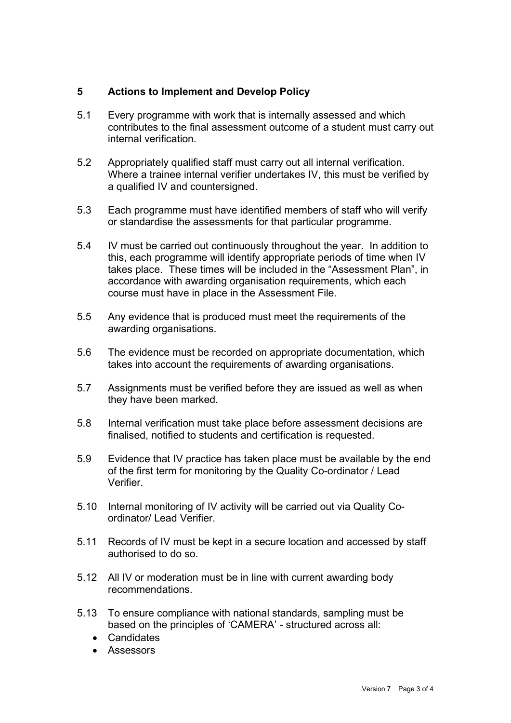## **5 Actions to Implement and Develop Policy**

- 5.1 Every programme with work that is internally assessed and which contributes to the final assessment outcome of a student must carry out internal verification.
- 5.2 Appropriately qualified staff must carry out all internal verification. Where a trainee internal verifier undertakes IV, this must be verified by a qualified IV and countersigned.
- 5.3 Each programme must have identified members of staff who will verify or standardise the assessments for that particular programme.
- 5.4 IV must be carried out continuously throughout the year. In addition to this, each programme will identify appropriate periods of time when IV takes place. These times will be included in the "Assessment Plan", in accordance with awarding organisation requirements, which each course must have in place in the Assessment File.
- 5.5 Any evidence that is produced must meet the requirements of the awarding organisations.
- 5.6 The evidence must be recorded on appropriate documentation, which takes into account the requirements of awarding organisations.
- 5.7 Assignments must be verified before they are issued as well as when they have been marked.
- 5.8 Internal verification must take place before assessment decisions are finalised, notified to students and certification is requested.
- 5.9 Evidence that IV practice has taken place must be available by the end of the first term for monitoring by the Quality Co-ordinator / Lead Verifier.
- 5.10 Internal monitoring of IV activity will be carried out via Quality Coordinator/ Lead Verifier.
- 5.11 Records of IV must be kept in a secure location and accessed by staff authorised to do so.
- 5.12 All IV or moderation must be in line with current awarding body recommendations.
- 5.13 To ensure compliance with national standards, sampling must be based on the principles of 'CAMERA' - structured across all:
	- Candidates
	- Assessors